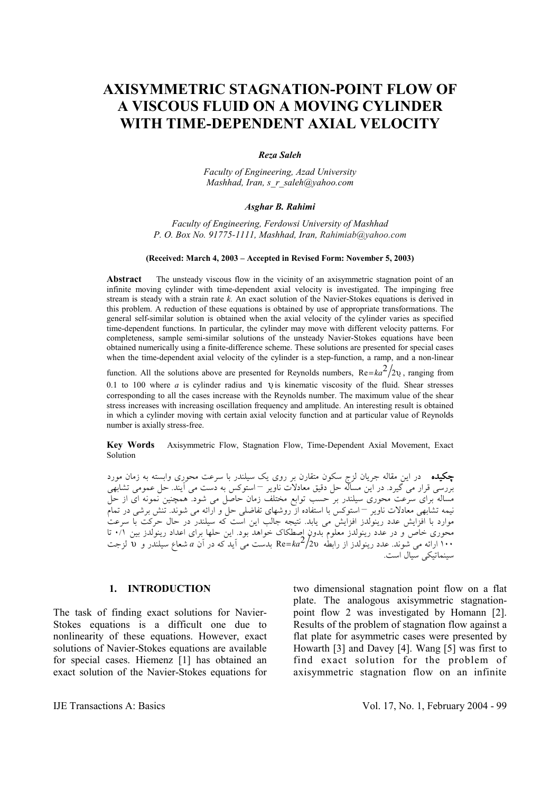# **AXISYMMETRIC STAGNATION-POINT FLOW OF A VISCOUS FLUID ON A MOVING CYLINDER WITH TIME-DEPENDENT AXIAL VELOCITY**

#### *Reza Saleh*

*Faculty of Engineering, Azad University Mashhad, Iran, s\_r\_saleh@yahoo.com*

#### *Asghar B. Rahimi*

*Faculty of Engineering, Ferdowsi University of Mashhad P. O. Box No. 91775-1111, Mashhad, Iran, Rahimiab@yahoo.com*

#### **(Received: March 4, 2003 – Accepted in Revised Form: November 5, 2003)**

**Abstract** The unsteady viscous flow in the vicinity of an axisymmetric stagnation point of an infinite moving cylinder with time-dependent axial velocity is investigated. The impinging free stream is steady with a strain rate *k.* An exact solution of the Navier-Stokes equations is derived in this problem. A reduction of these equations is obtained by use of appropriate transformations. The general self-similar solution is obtained when the axial velocity of the cylinder varies as specified time-dependent functions. In particular, the cylinder may move with different velocity patterns. For completeness, sample semi-similar solutions of the unsteady Navier-Stokes equations have been obtained numerically using a finite-difference scheme. These solutions are presented for special cases when the time-dependent axial velocity of the cylinder is a step-function, a ramp, and a non-linear

function. All the solutions above are presented for Reynolds numbers,  $Re = ka^2/2\nu$ , ranging from

0.1 to 100 where *a* is cylinder radius and υ is kinematic viscosity of the fluid. Shear stresses corresponding to all the cases increase with the Reynolds number. The maximum value of the shear stress increases with increasing oscillation frequency and amplitude. An interesting result is obtained in which a cylinder moving with certain axial velocity function and at particular value of Reynolds number is axially stress-free.

**Key Words** Axisymmetric Flow, Stagnation Flow, Time-Dependent Axial Movement, Exact Solution

چكيده در اين مقاله جريان لزج سكون متقارن بر روي يك سيلندر با سرعت محوري وابسته به زمان مورد بررسي قرار مي گيرد. در اين مساله حل دقيق معادلات ناوير – استوكس به دست مي آيند. حل عمومي تشابهي مساله براي سرعت محوري سيلندر بر حسب توابع مختلف زمان حاصل مي شود. همچنين نمونه اي از حل نيمه تشابهي معادلات ناوير – استوكس با استفاده از روشهاي تفاضلي حل و ارائه مي شوند. تنش برشي در تمام موارد با افزايش عدد رينولدز افزايش مي يابد. نتيجه جالب اين است كه سيلندر در حال حركت با سرعت محوری خاص و در عدد رینولدز معلوم بدون اصطکاک خواهد بود. این حلها برای اعداد رینولدز بین ٠/١ تا<br>١٠٠ ارائه می شوند. عدد رینولدز از رابطه Re=*ka<sup>2</sup>/*2v بدست می آید که در آن a شعاع سیلندر و u لزجت سينماتيكي سيال است.

### **1. INTRODUCTION**

The task of finding exact solutions for Navier-Stokes equations is a difficult one due to nonlinearity of these equations. However, exact solutions of Navier-Stokes equations are available for special cases. Hiemenz [1] has obtained an exact solution of the Navier-Stokes equations for

two dimensional stagnation point flow on a flat plate. The analogous axisymmetric stagnationpoint flow 2 was investigated by Homann [2]. Results of the problem of stagnation flow against a flat plate for asymmetric cases were presented by Howarth [3] and Davey [4]. Wang [5] was first to find exact solution for the problem of axisymmetric stagnation flow on an infinite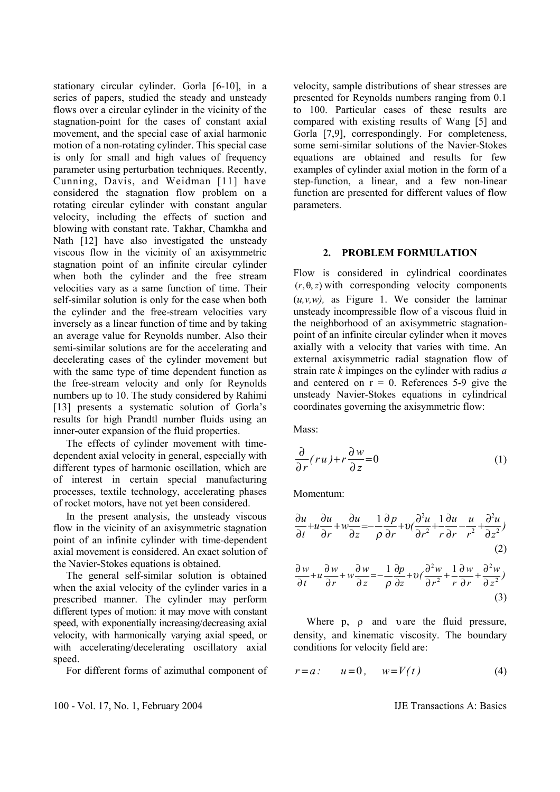stationary circular cylinder. Gorla [6-10], in a series of papers, studied the steady and unsteady flows over a circular cylinder in the vicinity of the stagnation-point for the cases of constant axial movement, and the special case of axial harmonic motion of a non-rotating cylinder. This special case is only for small and high values of frequency parameter using perturbation techniques. Recently, Cunning, Davis, and Weidman [11] have considered the stagnation flow problem on a rotating circular cylinder with constant angular velocity, including the effects of suction and blowing with constant rate. Takhar, Chamkha and Nath [12] have also investigated the unsteady viscous flow in the vicinity of an axisymmetric stagnation point of an infinite circular cylinder when both the cylinder and the free stream velocities vary as a same function of time. Their self-similar solution is only for the case when both the cylinder and the free-stream velocities vary inversely as a linear function of time and by taking an average value for Reynolds number. Also their semi-similar solutions are for the accelerating and decelerating cases of the cylinder movement but with the same type of time dependent function as the free-stream velocity and only for Reynolds numbers up to 10. The study considered by Rahimi [13] presents a systematic solution of Gorla's results for high Prandtl number fluids using an inner-outer expansion of the fluid properties.

 The effects of cylinder movement with timedependent axial velocity in general, especially with different types of harmonic oscillation, which are of interest in certain special manufacturing processes, textile technology, accelerating phases of rocket motors, have not yet been considered.

 In the present analysis, the unsteady viscous flow in the vicinity of an axisymmetric stagnation point of an infinite cylinder with time-dependent axial movement is considered. An exact solution of the Navier-Stokes equations is obtained.

 The general self-similar solution is obtained when the axial velocity of the cylinder varies in a prescribed manner. The cylinder may perform different types of motion: it may move with constant speed, with exponentially increasing/decreasing axial velocity, with harmonically varying axial speed, or with accelerating/decelerating oscillatory axial speed.

For different forms of azimuthal component of

velocity, sample distributions of shear stresses are presented for Reynolds numbers ranging from 0.1 to 100. Particular cases of these results are compared with existing results of Wang [5] and Gorla [7,9], correspondingly. For completeness, some semi-similar solutions of the Navier-Stokes equations are obtained and results for few examples of cylinder axial motion in the form of a step-function, a linear, and a few non-linear function are presented for different values of flow parameters.

#### **2. PROBLEM FORMULATION**

Flow is considered in cylindrical coordinates  $(r, \theta, z)$  with corresponding velocity components  $(u, v, w)$ , as Figure 1. We consider the laminar unsteady incompressible flow of a viscous fluid in the neighborhood of an axisymmetric stagnationpoint of an infinite circular cylinder when it moves axially with a velocity that varies with time. An external axisymmetric radial stagnation flow of strain rate *k* impinges on the cylinder with radius *a*  and centered on  $r = 0$ . References 5-9 give the unsteady Navier-Stokes equations in cylindrical coordinates governing the axisymmetric flow:

Mass<sup>.</sup>

$$
\frac{\partial}{\partial r}(ru) + r \frac{\partial w}{\partial z} = 0 \tag{1}
$$

Momentum:

$$
\frac{\partial u}{\partial t} + u \frac{\partial u}{\partial r} + w \frac{\partial u}{\partial z} = -\frac{1}{\rho} \frac{\partial p}{\partial r} + v \left( \frac{\partial^2 u}{\partial r^2} + \frac{1}{r} \frac{\partial u}{\partial r} - \frac{u}{r^2} + \frac{\partial^2 u}{\partial z^2} \right)
$$
\n(2)

$$
\frac{\partial w}{\partial t} + u \frac{\partial w}{\partial r} + w \frac{\partial w}{\partial z} = -\frac{1}{\rho} \frac{\partial p}{\partial z} + v \left( \frac{\partial^2 w}{\partial r^2} + \frac{1}{r} \frac{\partial w}{\partial r} + \frac{\partial^2 w}{\partial z^2} \right)
$$
\n(3)

Where  $p$ ,  $\rho$  and  $v$  are the fluid pressure, density, and kinematic viscosity. The boundary conditions for velocity field are:

$$
r = a: \qquad u = 0, \qquad w = V(t) \tag{4}
$$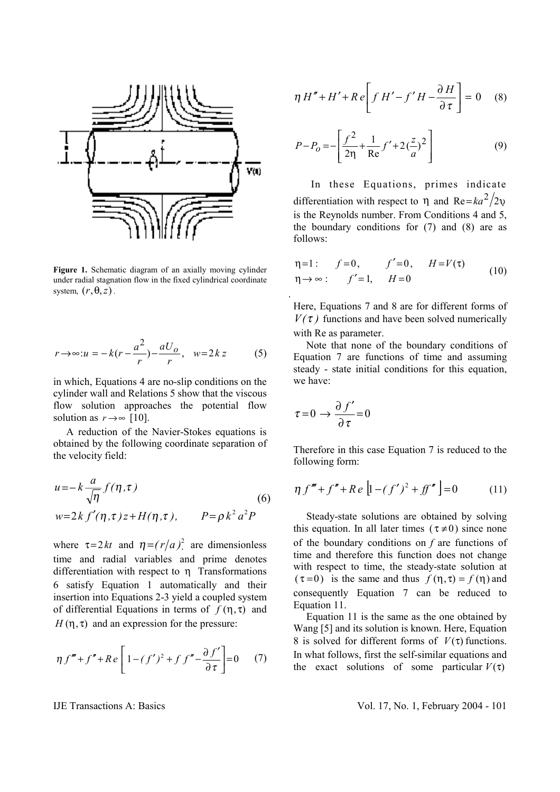

**Figure 1.** Schematic diagram of an axially moving cylinder under radial stagnation flow in the fixed cylindrical coordinate system,  $(r, \theta, z)$ .

$$
r \rightarrow \infty: u = -k(r - \frac{a^2}{r}) - \frac{aU_o}{r}, \quad w = 2kz \tag{5}
$$

in which, Equations 4 are no-slip conditions on the cylinder wall and Relations 5 show that the viscous flow solution approaches the potential flow solution as  $r \rightarrow \infty$  [10].

 A reduction of the Navier-Stokes equations is obtained by the following coordinate separation of the velocity field:

$$
u = -k \frac{a}{\sqrt{\eta}} f(\eta, \tau)
$$
  
\n
$$
w = 2k f'(\eta, \tau) z + H(\eta, \tau), \qquad P = \rho k^2 a^2 P
$$
\n(6)

where  $\tau = 2kt$  and  $\eta = (r/a)^2$  are dimensionless time and radial variables and prime denotes differentiation with respect to η Transformations 6 satisfy Equation 1 automatically and their insertion into Equations 2-3 yield a coupled system of differential Equations in terms of  $f(\eta, \tau)$  and  $H(\eta, \tau)$  and an expression for the pressure:

$$
\eta f''' + f'' + Re\left[1 - (f')^2 + f f'' - \frac{\partial f'}{\partial \tau}\right] = 0 \quad (7)
$$

 $\vert = 0$  $\overline{\phantom{a}}$  $\left| f H' - f' H - \frac{\partial H}{\partial \tau} \right|$ L  $\mathsf{I}$ ∂  $\eta H'' + H' + Re \left[ f H' - f' H - \frac{\partial H}{\partial \tau} \right] = 0$  (8)

$$
P - P_o = -\left[\frac{f^2}{2\eta} + \frac{1}{\text{Re}}f' + 2\left(\frac{z}{a}\right)^2\right]
$$
(9)

 In these Equations, primes indicate differentiation with respect to  $\eta$  and Re= $ka^2/2v$ is the Reynolds number. From Conditions 4 and 5, the boundary conditions for (7) and (8) are as follows:

$$
\eta = 1: \quad f = 0, \quad f' = 0, \quad H = V(\tau) \n\eta \to \infty: \quad f' = 1, \quad H = 0
$$
\n(10)

Here, Equations 7 and 8 are for different forms of  $V(\tau)$  functions and have been solved numerically with Re as parameter.

 Note that none of the boundary conditions of Equation 7 are functions of time and assuming steady - state initial conditions for this equation, we have:

$$
\tau = 0 \to \frac{\partial f'}{\partial \tau} = 0
$$

Therefore in this case Equation 7 is reduced to the following form:

$$
\eta f''' + f'' + Re\left[1 - (f')^2 + ff''\right] = 0 \tag{11}
$$

 Steady-state solutions are obtained by solving this equation. In all later times ( $\tau \neq 0$ ) since none of the boundary conditions on *f* are functions of time and therefore this function does not change with respect to time, the steady-state solution at  $(\tau = 0)$  is the same and thus  $f(\eta, \tau) = f(\eta)$  and consequently Equation 7 can be reduced to Equation 11.

 Equation 11 is the same as the one obtained by Wang [5] and its solution is known. Here, Equation 8 is solved for different forms of  $V(\tau)$  functions. In what follows, first the self-similar equations and the exact solutions of some particular  $V(\tau)$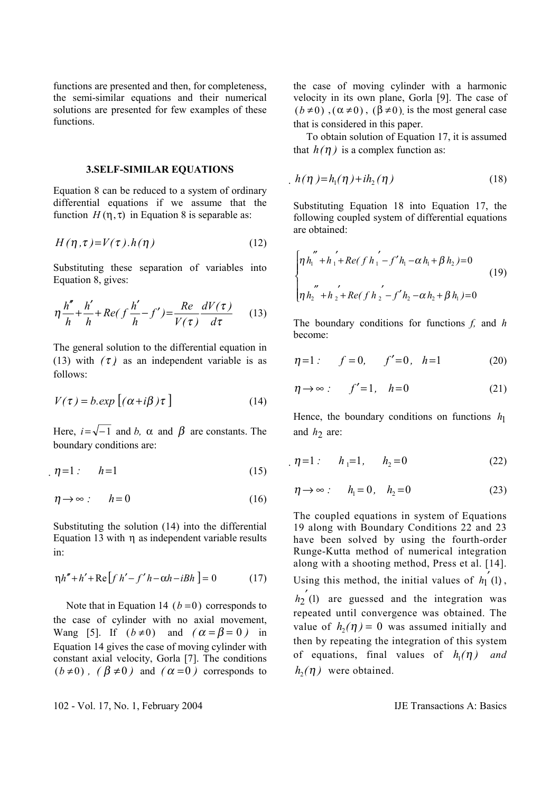functions are presented and then, for completeness, the semi-similar equations and their numerical solutions are presented for few examples of these functions.

## **3.SELF-SIMILAR EQUATIONS**

Equation 8 can be reduced to a system of ordinary differential equations if we assume that the function  $H(\eta, \tau)$  in Equation 8 is separable as:

$$
H(\eta, \tau) = V(\tau) \cdot h(\eta) \tag{12}
$$

Substituting these separation of variables into Equation 8, gives:

$$
\eta \frac{h''}{h} + \frac{h'}{h} + Re(f\frac{h'}{h} - f') = \frac{Re}{V(\tau)} \frac{dV(\tau)}{d\tau}
$$
 (13)

The general solution to the differential equation in (13) with  $(\tau)$  as an independent variable is as follows:

$$
V(\tau) = b \exp[(\alpha + i\beta)\tau]
$$
 (14)

Here,  $i = \sqrt{-1}$  and *b*,  $\alpha$  and  $\beta$  are constants. The boundary conditions are:

$$
\eta = 1: \qquad h = 1 \tag{15}
$$

$$
\eta \to \infty \qquad h = 0 \tag{16}
$$

Substituting the solution (14) into the differential Equation 13 with η as independent variable results in:

$$
\eta h'' + h' + \text{Re}\left[f h' - f' h - \alpha h - iBh\right] = 0\tag{17}
$$

Note that in Equation 14 ( $b = 0$ ) corresponds to the case of cylinder with no axial movement, Wang [5]. If  $(b \neq 0)$  and  $(\alpha = \beta = 0)$  in Equation 14 gives the case of moving cylinder with constant axial velocity, Gorla [7]. The conditions  $(b \neq 0)$ ,  $(\beta \neq 0)$  and  $(\alpha = 0)$  corresponds to the case of moving cylinder with a harmonic velocity in its own plane, Gorla [9]. The case of  $(b \neq 0)$ ,  $(\alpha \neq 0)$ ,  $(\beta \neq 0)$  is the most general case that is considered in this paper.

 To obtain solution of Equation 17, it is assumed that  $h(\eta)$  is a complex function as:

$$
h(\eta) = h_1(\eta) + ih_2(\eta) \tag{18}
$$

Substituting Equation 18 into Equation 17, the following coupled system of differential equations are obtained:

$$
\begin{cases}\n\eta h_1'' + h_1' + Re(f h_1' - f' h_1 - \alpha h_1 + \beta h_2) = 0 \\
\eta h_2'' + h_2' + Re(f h_2' - f' h_2 - \alpha h_2 + \beta h_1) = 0\n\end{cases}
$$
\n(19)

The boundary conditions for functions *f,* and *h*  become:

$$
\eta = 1: \qquad f = 0, \qquad f' = 0, \quad h = 1 \tag{20}
$$

$$
\eta \to \infty \quad \text{if} \quad f' = 1, \quad h = 0 \tag{21}
$$

Hence, the boundary conditions on functions  $h_1$ and  $h_2$  are:

$$
\eta = 1: \qquad h_1 = 1, \qquad h_2 = 0 \tag{22}
$$

$$
\eta \to \infty \qquad h_1 = 0, \quad h_2 = 0 \tag{23}
$$

The coupled equations in system of Equations 19 along with Boundary Conditions 22 and 23 have been solved by using the fourth-order Runge-Kutta method of numerical integration along with a shooting method, Press et al. [14]. Using this method, the initial values of  $h'_1(1)$ ,  $h_2(t)$  are guessed and the integration was repeated until convergence was obtained. The value of  $h_2(\eta) = 0$  was assumed initially and then by repeating the integration of this system of equations, final values of  $h_1(\eta)$  and  $h_2(\eta)$  were obtained.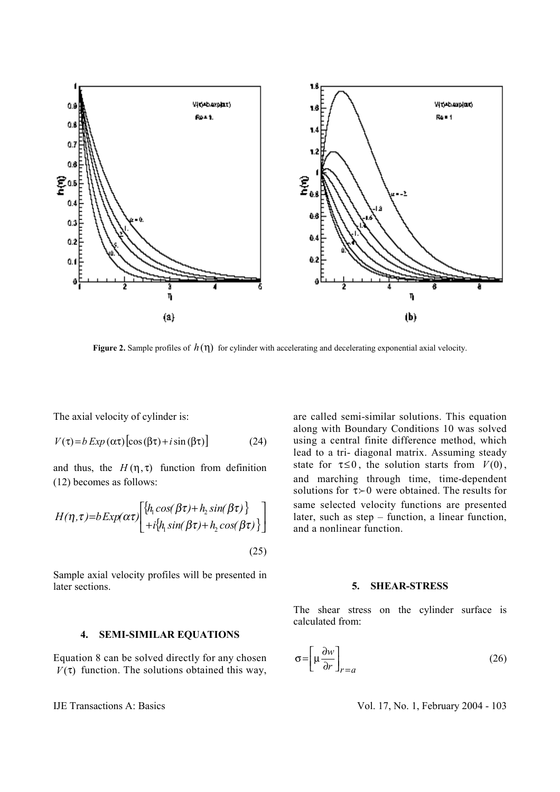

**Figure 2.** Sample profiles of  $h(\eta)$  for cylinder with accelerating and decelerating exponential axial velocity.

The axial velocity of cylinder is:

$$
V(\tau) = b \, Exp\,(\alpha \tau) \left[ \cos(\beta \tau) + i \sin(\beta \tau) \right] \tag{24}
$$

and thus, the  $H(\eta, \tau)$  function from definition (12) becomes as follows:

$$
H(\eta,\tau)=bExp(\alpha\tau)\begin{bmatrix} \{h_{1}cos(\beta\tau)+h_{2}sin(\beta\tau)\} \\ +i\{h_{1}sin(\beta\tau)+h_{2}cos(\beta\tau)\} \end{bmatrix}
$$
\n(25)

Sample axial velocity profiles will be presented in later sections.

are called semi-similar solutions. This equation along with Boundary Conditions 10 was solved using a central finite difference method, which lead to a tri- diagonal matrix. Assuming steady state for  $\tau \leq 0$ , the solution starts from  $V(0)$ , and marching through time, time-dependent solutions for  $\tau \succ 0$  were obtained. The results for same selected velocity functions are presented later, such as step – function, a linear function, and a nonlinear function.

#### **5. SHEAR-STRESS**

The shear stress on the cylinder surface is calculated from:

## **4. SEMI-SIMILAR EQUATIONS**

Equation 8 can be solved directly for any chosen  $V(\tau)$  function. The solutions obtained this way,

$$
\sigma = \left[ \mu \frac{\partial w}{\partial r} \right]_{r=a} \tag{26}
$$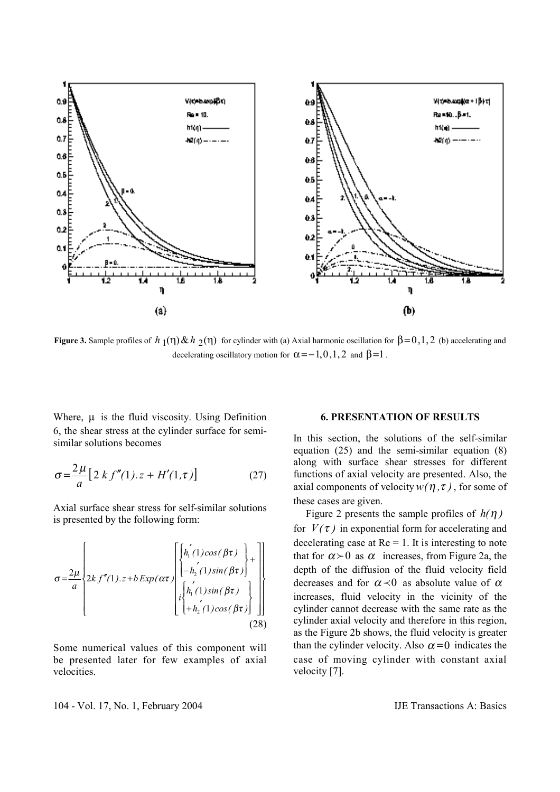

**Figure 3.** Sample profiles of  $h_1(\eta) \& h_2(\eta)$  for cylinder with (a) Axial harmonic oscillation for  $\beta = 0, 1, 2$  (b) accelerating and decelerating oscillatory motion for  $\alpha = -1, 0, 1, 2$  and  $\beta = 1$ .

Where,  $\mu$  is the fluid viscosity. Using Definition 6, the shear stress at the cylinder surface for semisimilar solutions becomes

$$
\sigma = \frac{2\mu}{a} \left[ 2\ k \ f''(1).z + H'(1,\tau) \right] \tag{27}
$$

Axial surface shear stress for self-similar solutions is presented by the following form:

$$
\sigma = \frac{2\mu}{a} \left\{ 2kf''(1).z + b \exp(\alpha \tau) \left\{ \begin{bmatrix} h_1'(1)\cos(\beta \tau) \\ -h_2'(1)\sin(\beta \tau) \\ \vdots \\ h_1'(1)\sin(\beta \tau) \\ +h_2'(1)\cos(\beta \tau) \end{bmatrix} \right\} \right\}
$$
(28)

Some numerical values of this component will be presented later for few examples of axial velocities.

## **6. PRESENTATION OF RESULTS**

In this section, the solutions of the self-similar equation (25) and the semi-similar equation (8) along with surface shear stresses for different functions of axial velocity are presented. Also, the axial components of velocity  $w(\eta, \tau)$ , for some of these cases are given.

Figure 2 presents the sample profiles of  $h(\eta)$ for  $V(\tau)$  in exponential form for accelerating and decelerating case at  $Re = 1$ . It is interesting to note that for  $\alpha > 0$  as  $\alpha$  increases, from Figure 2a, the depth of the diffusion of the fluid velocity field decreases and for  $\alpha \prec 0$  as absolute value of  $\alpha$ increases, fluid velocity in the vicinity of the cylinder cannot decrease with the same rate as the cylinder axial velocity and therefore in this region, as the Figure 2b shows, the fluid velocity is greater than the cylinder velocity. Also  $\alpha = 0$  indicates the case of moving cylinder with constant axial velocity [7].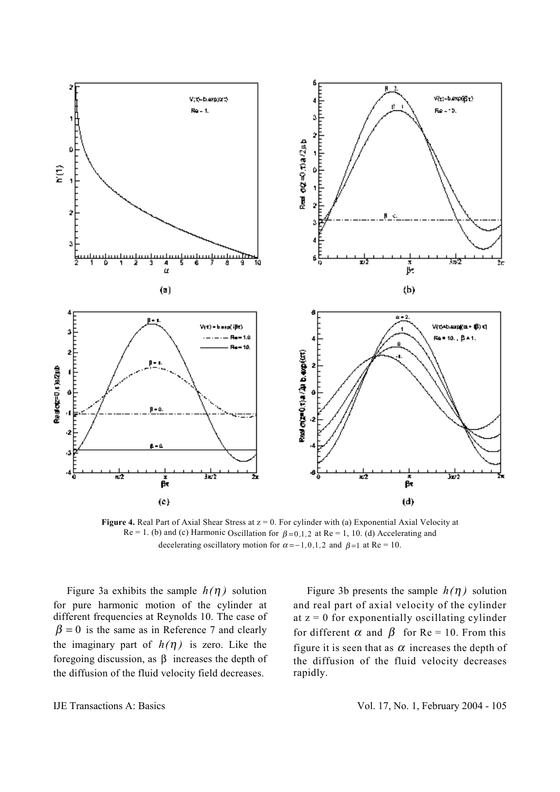

**Figure 4.** Real Part of Axial Shear Stress at  $z = 0$ . For cylinder with (a) Exponential Axial Velocity at  $Re = 1$ . (b) and (c) Harmonic Oscillation for  $\beta = 0,1,2$  at  $Re = 1, 10$ . (d) Accelerating and decelerating oscillatory motion for  $\alpha = -1, 0, 1, 2$  and  $\beta = 1$  at Re = 10.

Figure 3a exhibits the sample  $h(\eta)$  solution for pure harmonic motion of the cylinder at different frequencies at Reynolds 10. The case of  $\beta = 0$  is the same as in Reference 7 and clearly the imaginary part of  $h(\eta)$  is zero. Like the foregoing discussion, as β increases the depth of the diffusion of the fluid velocity field decreases.

Figure 3b presents the sample  $h(\eta)$  solution and real part of axial velocity of the cylinder at  $z = 0$  for exponentially oscillating cylinder for different  $\alpha$  and  $\beta$  for Re = 10. From this figure it is seen that as  $\alpha$  increases the depth of the diffusion of the fluid velocity decreases rapidly.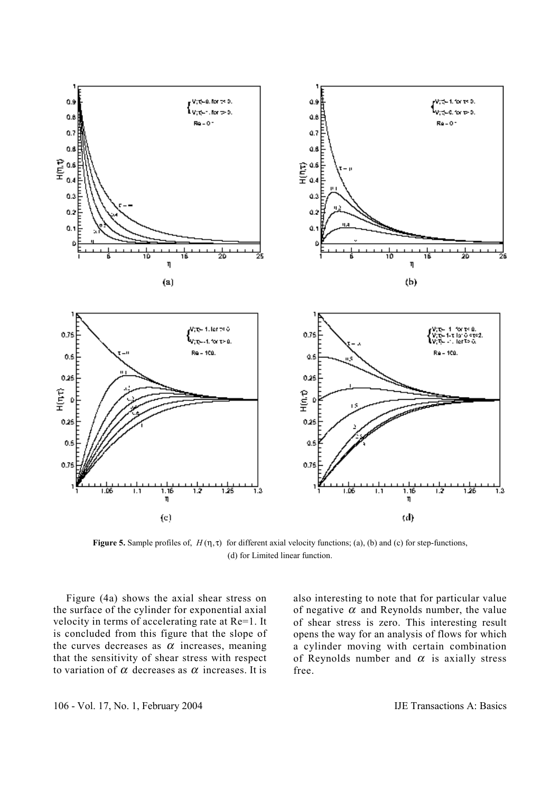

**Figure 5.** Sample profiles of,  $H(\eta, \tau)$  for different axial velocity functions; (a), (b) and (c) for step-functions, (d) for Limited linear function.

 Figure (4a) shows the axial shear stress on the surface of the cylinder for exponential axial velocity in terms of accelerating rate at Re=1. It is concluded from this figure that the slope of the curves decreases as  $\alpha$  increases, meaning that the sensitivity of shear stress with respect to variation of  $\alpha$  decreases as  $\alpha$  increases. It is

also interesting to note that for particular value of negative  $\alpha$  and Reynolds number, the value of shear stress is zero. This interesting result opens the way for an analysis of flows for which a cylinder moving with certain combination of Reynolds number and  $\alpha$  is axially stress free.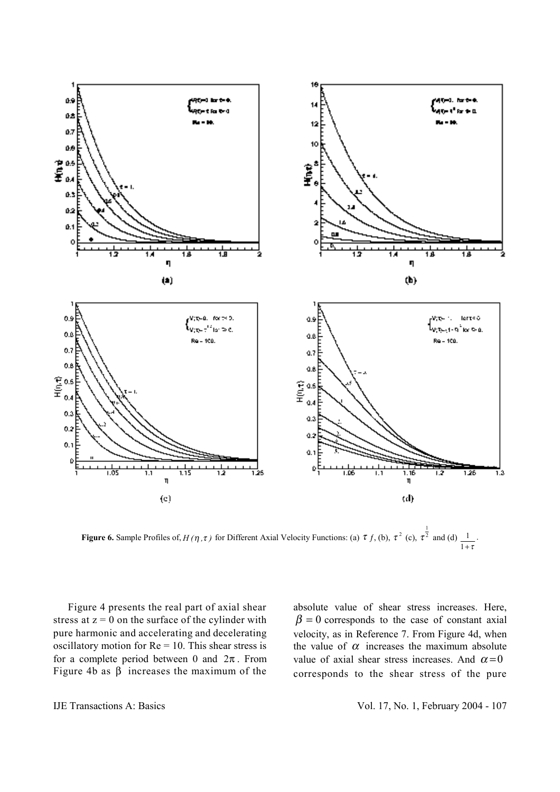

**Figure 6.** Sample Profiles of, *H (***η**, **τ**) for Different Axial Velocity Functions: (a) **τ** *f*, (b), **τ**<sup>2</sup> (c),  $\tau^{\frac{1}{2}}$  $\tau^2$  and (d)  $1+\tau$  $\frac{1}{\cdot}$ .

 Figure 4 presents the real part of axial shear stress at  $z = 0$  on the surface of the cylinder with pure harmonic and accelerating and decelerating oscillatory motion for  $Re = 10$ . This shear stress is for a complete period between 0 and  $2\pi$ . From Figure 4b as β increases the maximum of the absolute value of shear stress increases. Here,  $\beta = 0$  corresponds to the case of constant axial velocity, as in Reference 7. From Figure 4d, when the value of  $\alpha$  increases the maximum absolute value of axial shear stress increases. And  $\alpha = 0$ corresponds to the shear stress of the pure